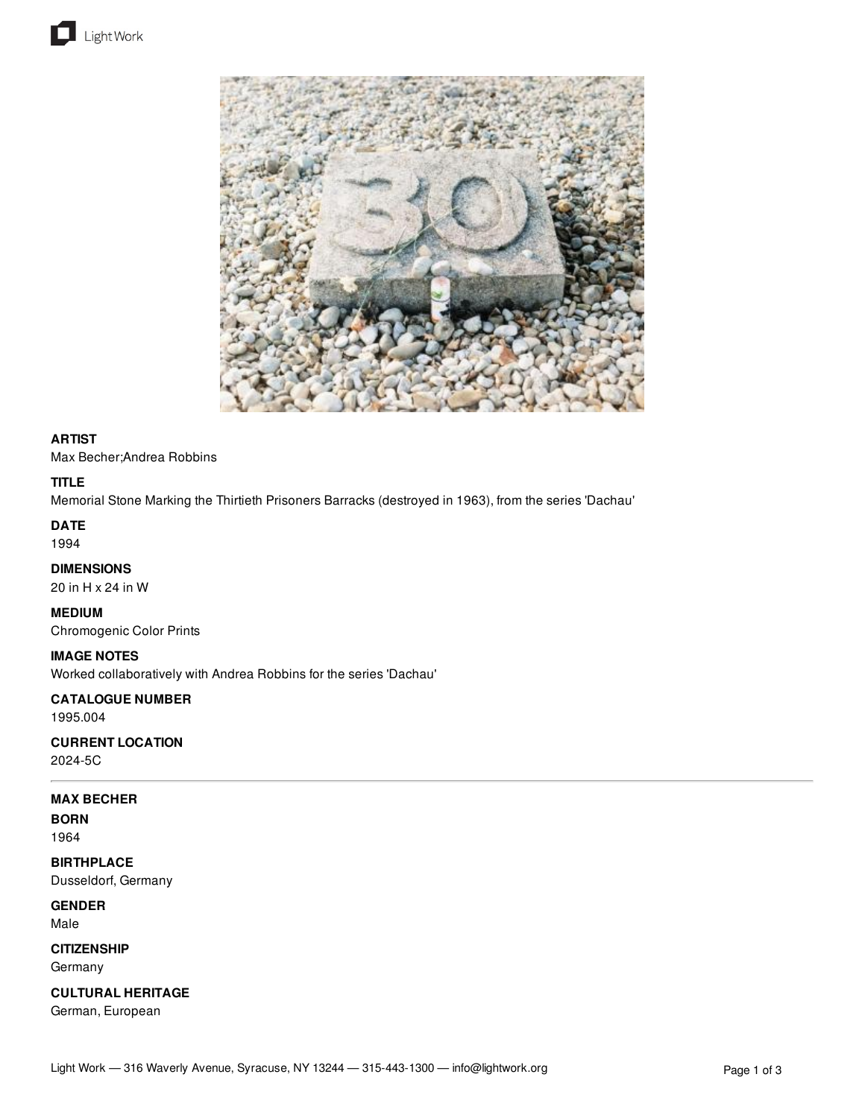



## **ARTIST**

Max Becher;Andrea Robbins

## **TITLE**

Memorial Stone Marking the Thirtieth Prisoners Barracks (destroyed in 1963), from the series 'Dachau'

## **DATE**

1994

# **DIMENSIONS**

20 in H x 24 in W

### **MEDIUM**

Chromogenic Color Prints

### **IMAGE NOTES**

Worked collaboratively with Andrea Robbins for the series 'Dachau'

# **CATALOGUE NUMBER**

1995.004

# **CURRENT LOCATION**

2024-5C

# **MAX BECHER**

**BORN** 1964

# **BIRTHPLACE**

Dusseldorf, Germany

## **GENDER** Male

**CITIZENSHIP**

Germany

# **CULTURAL HERITAGE**

German, European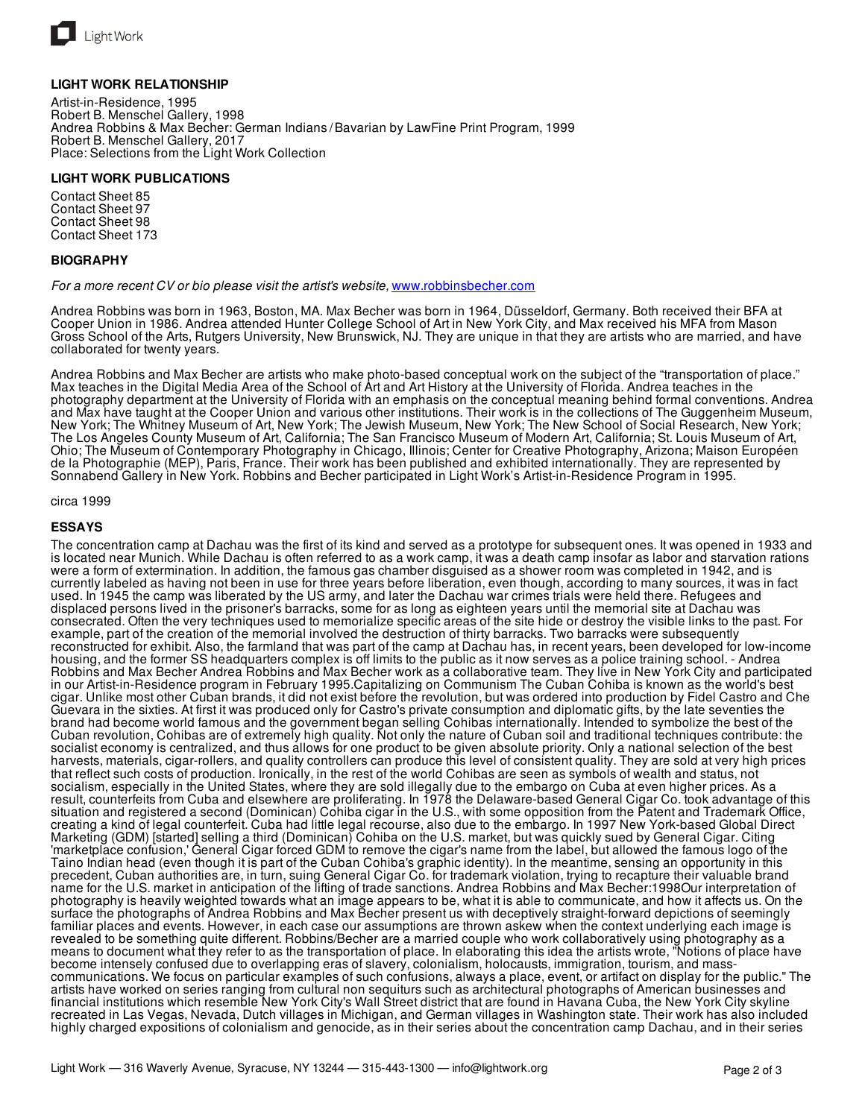

### **LIGHT WORK RELATIONSHIP**

Artist-in-Residence, 1995 Robert B. Menschel Gallery, 1998 Andrea Robbins & Max Becher: German Indians/Bavarian by LawFine Print Program, 1999 Robert B. Menschel Gallery, 2017 Place: Selections from the Light Work Collection

### **LIGHT WORK PUBLICATIONS**

Contact Sheet 85 Contact Sheet 97 Contact Sheet 98 Contact Sheet 173

### **BIOGRAPHY**

### *For a more recent CV or bio please visit the artist's website,* [www.robbinsbecher.com](http://www.robbinsbecher.com)

Andrea Robbins was born in 1963, Boston, MA. Max Becher was born in 1964, Düsseldorf, Germany. Both received their BFA at Cooper Union in 1986. Andrea attended Hunter College School of Art in New York City, and Max received his MFA from Mason Gross School of the Arts, Rutgers University, New Brunswick, NJ. They are unique in that they are artists who are married, and have collaborated for twenty years.

Andrea Robbins and Max Becher are artists who make photo-based conceptual work on the subject of the "transportation of place." Max teaches in the Digital Media Area of the School of Art and Art History at the University of Florida. Andrea teaches in the photography department at the University of Florida with an emphasis on the conceptual meaning behind formal conventions. Andrea and Max have taught at the Cooper Union and various other institutions. Their work is in the collections of The Guggenheim Museum, New York; The Whitney Museum of Art, New York; The Jewish Museum, New York; The New School of Social Research, New York; The Los Angeles County Museum of Art, California; The San Francisco Museum of Modern Art, California; St. Louis Museum of Art, Ohio; The Museum of Contemporary Photography in Chicago, Illinois; Center for Creative Photography, Arizona; Maison Européen de la Photographie (MEP), Paris, France. Their work has been published and exhibited internationally. They are represented by Sonnabend Gallery in New York. Robbins and Becher participated in Light Work's Artist-in-Residence Program in 1995.

#### circa 1999

### **ESSAYS**

The concentration camp at Dachau was the first of its kind and served as a prototype for subsequent ones. It was opened in 1933 and is located near Munich. While Dachau is often referred to as a work camp, it was a death camp insofar as labor and starvation rations were a form of extermination. In addition, the famous gas chamber disguised as a shower room was completed in 1942, and is currently labeled as having not been in use for three years before liberation, even though, according to many sources, it was in fact used. In 1945 the camp was liberated by the US army, and later the Dachau war crimes trials were held there. Refugees and displaced persons lived in the prisoner's barracks, some for as long as eighteen years until the memorial site at Dachau was consecrated. Often the very techniques used to memorialize specific areas of the site hide or destroy the visible links to the past. For example, part of the creation of the memorial involved the destruction of thirty barracks. Two barracks were subsequently reconstructed for exhibit. Also, the farmland that was part of the camp at Dachau has, in recent years, been developed for low-income housing, and the former SS headquarters complex is off limits to the public as it now serves as a police training school. - Andrea Robbins and Max Becher Andrea Robbins and Max Becher work as a collaborative team. They live in New York City and participated in our Artist-in-Residence program in February 1995.Capitalizing on Communism The Cuban Cohiba is known as the world's best cigar. Unlike most other Cuban brands, it did not exist before the revolution, but was ordered into production by Fidel Castro and Che Guevara in the sixties. At first it was produced only for Castro's private consumption and diplomatic gifts, by the late seventies the brand had become world famous and the government began selling Cohibas internationally. Intended to symbolize the best of the Cuban revolution, Cohibas are of extremely high quality. Not only the nature of Cuban soil and traditional techniques contribute: the socialist economy is centralized, and thus allows for one product to be given absolute priority. Only a national selection of the best harvests, materials, cigar-rollers, and quality controllers can produce this level of consistent quality. They are sold at very high prices that reflect such costs of production. Ironically, in the rest of the world Cohibas are seen as symbols of wealth and status, not socialism, especially in the United States, where they are sold illegally due to the embargo on Cuba at even higher prices. As a result, counterfeits from Cuba and elsewhere are proliferating. In 1978 the Delaware-based General Cigar Co. took advantage of this situation and registered a second (Dominican) Cohiba cigar in the U.S., with some opposition from the Patent and Trademark Office, creating a kind of legal counterfeit. Cuba had little legal recourse, also due to the embargo. In 1997 New York-based Global Direct Marketing (GDM) [started] selling a third (Dominican) Cohiba on the U.S. market, but was quickly sued by General Cigar. Citing 'marketplace confusion,' General Cigar forced GDM to remove the cigar's name from the label, but allowed the famous logo of the Taino Indian head (even though it is part of the Cuban Cohiba's graphic identity). In the meantime, sensing an opportunity in this precedent, Cuban authorities are, in turn, suing General Cigar Co. for trademark violation, trying to recapture their valuable brand name for the U.S. market in anticipation of the lifting of trade sanctions. Andrea Robbins and Max Becher:1998Our interpretation of photography is heavily weighted towards what an image appears to be, what it is able to communicate, and how it affects us. On the surface the photographs of Andrea Robbins and Max Becher present us with deceptively straight-forward depictions of seemingly familiar places and events. However, in each case our assumptions are thrown askew when the context underlying each image is revealed to be something quite different. Robbins/Becher are a married couple who work collaboratively using photography as a means to document what they refer to as the transportation of place. In elaborating this idea the artists wrote, "Notions of place have become intensely confused due to overlapping eras of slavery, colonialism, holocausts, immigration, tourism, and masscommunications. We focus on particular examples of such confusions, always a place, event, or artifact on display for the public." The artists have worked on series ranging from cultural non sequiturs such as architectural photographs of American businesses and financial institutions which resemble New York City's Wall Street district that are found in Havana Cuba, the New York City skyline recreated in Las Vegas, Nevada, Dutch villages in Michigan, and German villages in Washington state. Their work has also included highly charged expositions of colonialism and genocide, as in their series about the concentration camp Dachau, and in their series